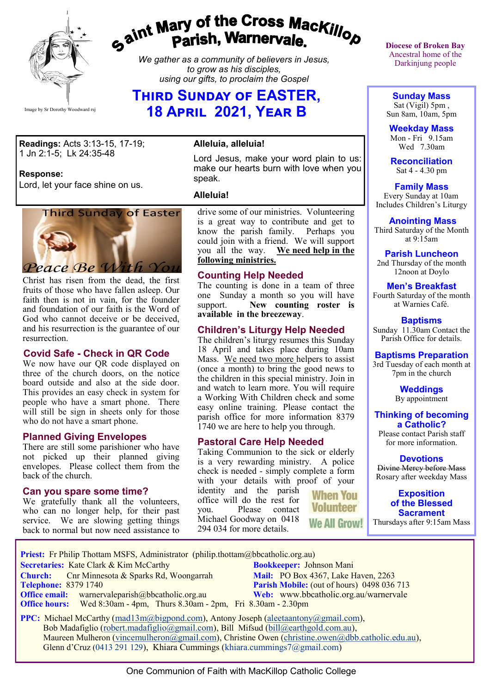

# gaint Mary of the Cross Mackillop<br>Parish, Warnervale.

*We gather as a community of believers in Jesus, to grow as his disciples, using our gifts, to proclaim the Gospel*

## **Third Sunday of EASTER, 18 April 2021, Year B**

**Readings:** Acts 3:13-15, 17-19; 1 Jn 2:1-5; Lk 24:35-48

#### **Response:**

Lord, let your face shine on us.



Christ has risen from the dead, the first fruits of those who have fallen asleep. Our faith then is not in vain, for the founder and foundation of our faith is the Word of God who cannot deceive or be deceived, and his resurrection is the guarantee of our resurrection.

#### **Covid Safe - Check in QR Code**

We now have our QR code displayed on three of the church doors, on the notice board outside and also at the side door. This provides an easy check in system for people who have a smart phone. There will still be sign in sheets only for those who do not have a smart phone.

#### **Planned Giving Envelopes**

There are still some parishioner who have not picked up their planned giving envelopes. Please collect them from the back of the church.

#### **Can you spare some time?**

We gratefully thank all the volunteers, who can no longer help, for their past service. We are slowing getting things back to normal but now need assistance to

#### **Alleluia, alleluia!**

Lord Jesus, make your word plain to us: make our hearts burn with love when you speak.

#### **Alleluia!**

drive some of our ministries. Volunteering is a great way to contribute and get to know the parish family. Perhaps you could join with a friend. We will support you all the way. **We need help in the following ministries.**

#### **Counting Help Needed**

The counting is done in a team of three one Sunday a month so you will have support. **New counting roster is available in the breezeway**.

#### **Children's Liturgy Help Needed**

The children's liturgy resumes this Sunday 18 April and takes place during 10am Mass. We need two more helpers to assist (once a month) to bring the good news to the children in this special ministry. Join in and watch to learn more. You will require a Working With Children check and some easy online training. Please contact the parish office for more information 8379 1740 we are here to help you through.

#### **Pastoral Care Help Needed**

Taking Communion to the sick or elderly is a very rewarding ministry. A police check is needed - simply complete a form with your details with proof of your identity and the parish **When You** office will do the rest for **Volunteer** contact Michael Goodway on 0418 **We All Grow!** 294 034 for more details.

**Diocese of Broken Bay**  Ancestral home of the Darkinjung people

**Sunday Mass** Sat (Vigil) 5pm ,

Sun 8am, 10am, 5pm

**Weekday Mass** Mon - Fri 9.15am Wed 7.30am

**Reconciliation** Sat 4 - 4.30 pm

**Family Mass**  Every Sunday at 10am Includes Children's Liturgy

#### **Anointing Mass**

Third Saturday of the Month at 9:15am

**Parish Luncheon** 2nd Thursday of the month 12noon at Doylo

#### **Men's Breakfast**

Fourth Saturday of the month at Warnies Café.

**Baptisms** Sunday 11.30am Contact the Parish Office for details.

#### **Baptisms Preparation**

3rd Tuesday of each month at 7pm in the church

> **Weddings**  By appointment

**Thinking of becoming a Catholic?**

Please contact Parish staff for more information.

**Devotions** Divine Mercy before Mass Rosary after weekday Mass

**Exposition of the Blessed Sacrament** Thursdays after 9:15am Mass

**Priest:** Fr Philip Thottam MSFS, Administrator (philip.thottam@bbcatholic.org.au)

 **Secretaries:** Kate Clark & Kim McCarthy **Bookkeeper:** Johnson Mani

**Office email:** warnervaleparish@bbcatholic.org.au **Web:** [www.bbcatholic.org.au/warnervale](https://www.bbcatholic.org.au/warnervale)

**Church:** Cnr Minnesota & Sparks Rd, Woongarrah **Mail:** PO Box 4367, Lake Haven, 2263<br> **Telephone:** 8379 1740 **Parish Mobile:** (out of hours) 0498 036 **Parish Mobile:** (out of hours) 0498 036 713  **Office hours:** Wed 8:30am - 4pm, Thurs 8.30am - 2pm, Fri 8.30am - 2.30pm

**PPC:** Michael McCarthy ([mad13m@bigpond.com\),](mailto:mad13m@bigpond.com) Antony Joseph ([aleetaantony@gmail.com\)](mailto:aleetaantony@gmail.com), Bob Madafiglio ([robert.madafiglio@gmail.com\),](mailto:robert.madafiglio@gmail.com) Bill Mifsud ([bill@earthgold.com.au\),](mailto:bill@earthgold.com.au) Maureen Mulheron [\(vincemulheron@gmail.com\),](mailto:vincemulheron@gmail.com) Christine Owen (christine.owe[n@dbb.catholic.edu.au\),](mailto:ann.jackson@dbb.catholic.edu.au) Glenn d'Cruz (0413 291 129), Khiara Cummings (khiara.cummings7@gmail.com)